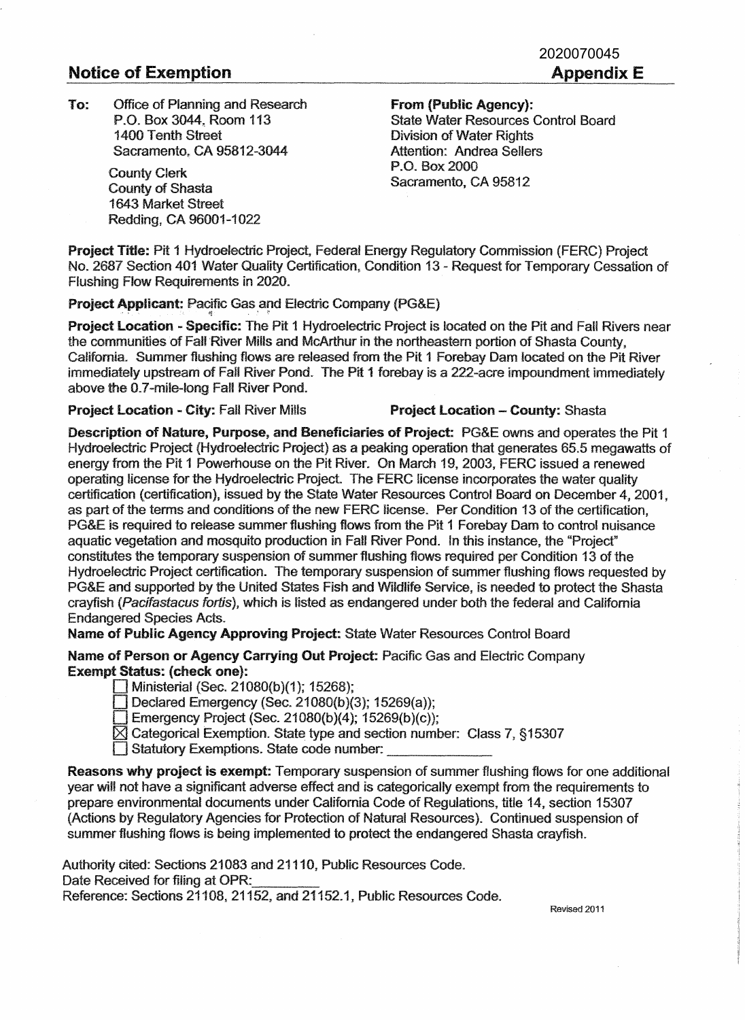## **Notice of Exemption Appendix E**

**To:** Office of Planning and Research **From (Public Agency):**  P.O. Box 3044. Room 113 1400 Tenth Street Sacramento. CA 95812-3044

County Clerk County of Shasta 1643 Market Street Redding, CA 96001-1022

State Water Resources Control Board Division of Water Rights Attention: Andrea Sellers P.O. Box 2000 Sacramento, CA 95812

**Project Title:** Pit **1** Hydroelectric Project, Federal Energy Regulatory Commission (FERC) Project No. 2687 Section 401 Water Quality Certification. Condition 13 - Request for Temporary Cessation of Flushing Flow Requirements in 2020.

**Project Applicant: Pacific Gas and Electric Company (PG&E)** 

**Project Location - Specific: The Pit 1 Hydroelectric Project is located on the Pit and Fall Rivers near** the communities of Fall River Mills and McArthur in the northeastern portion of Shasta County. California. Summer flushing flows are released from the Pit 1 Forebay Dam located on the Pit River immediately upstream of Fall River Pond. The Pit 1 forebay is a 222-acre impoundment immediately above the 0.7-mile-long Fall River Pond.

**Project Location - City: Fall River Mills <b>Project Location - County:** Shasta

**Description of Nature, Purpose, and Beneficiaries of Project:** PG&E owns and operates the Pit 1 Hydroelectric Project (Hydroelectric Project) as a peaking operation that generates 65.5 megawatts of energy from the Pit 1 Powerhouse on the Pit River. On March 19, 2003, FERC issued a renewed operating license for the Hydroelectric Project The FERC license incorporates the water quality certification (certification), issued by the State Water Resources Control Board on December 4, 2001, as part of the terms and conditions of the new FERC license. Per Condition 13 of the certification, PG&E is required to release summer flushing flows from the Pit 1 Forebay Dam to control nuisance aquatic vegetation and mosquito production in FaU River Pond. In this instance, the "Project" constitutes the temporary suspension of summer flushing flows required per Condition 13 of the Hydroelectric Project certification. The temporary suspension of summer flushing flows requested by PG&E and supported by the United States Fish and Wildlife Service, is needed to protect the Shasta crayfish (Pacifastacus fortis), which is listed as endangered under both the federal and California Endangered Species Acts.

**Name of Public Agency Approving Project:** State Water Resources Control Board

**Name of Person or Agency Carrying Out Project:** Pacific Gas and Electric Company **Exempt Status: (check one}:** 

D Ministerial (Sec. 21080(b)(1); 15268);

Declared Emergency (Sec. 21080(b)(3); 15269(a));

**Emergency Project (Sec. 21080(b)(4); 15269(b)(c));** 

[8J Categorical Exemption. State type and section number: Class 7, § 15307 D Statutory Exemptions. State code number: \_\_\_\_\_ \_

**Reasons why project is exempt:** Temporary suspension of summer flushing flows for one additional year will not have a significant adverse effect and is categorically exempt from the requirements to prepare environmental documents under California Code of Regulations, title 14, section 15307 (Actions by Regulatory Agencies for Protection of Natural Resources). Continued suspension of summer flushing flows is being implemented to protect the endangered Shasta crayfish.

Authority cited: Sections 21083 and 21110, Public Resources Code. Date Received for filing at OPR: Reference: Sections 21108, 21152, and 21152.1, Public Resources Code.

Revised 2011